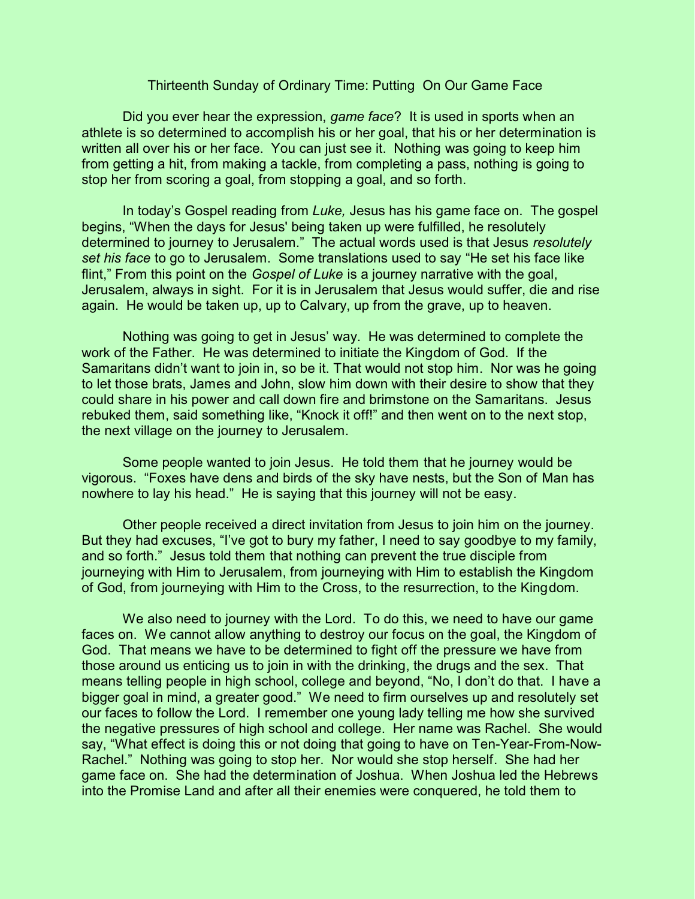## Thirteenth Sunday of Ordinary Time: Putting On Our Game Face

Did you ever hear the expression, *game face*? It is used in sports when an athlete is so determined to accomplish his or her goal, that his or her determination is written all over his or her face. You can just see it. Nothing was going to keep him from getting a hit, from making a tackle, from completing a pass, nothing is going to stop her from scoring a goal, from stopping a goal, and so forth.

In today's Gospel reading from *Luke,* Jesus has his game face on. The gospel begins, "When the days for Jesus' being taken up were fulfilled, he resolutely determined to journey to Jerusalem." The actual words used is that Jesus *resolutely set his face* to go to Jerusalem. Some translations used to say "He set his face like flint," From this point on the *Gospel of Luke* is a journey narrative with the goal, Jerusalem, always in sight. For it is in Jerusalem that Jesus would suffer, die and rise again. He would be taken up, up to Calvary, up from the grave, up to heaven.

Nothing was going to get in Jesus' way. He was determined to complete the work of the Father. He was determined to initiate the Kingdom of God. If the Samaritans didn't want to join in, so be it. That would not stop him. Nor was he going to let those brats, James and John, slow him down with their desire to show that they could share in his power and call down fire and brimstone on the Samaritans. Jesus rebuked them, said something like, "Knock it off!" and then went on to the next stop, the next village on the journey to Jerusalem.

Some people wanted to join Jesus. He told them that he journey would be vigorous. "Foxes have dens and birds of the sky have nests, but the Son of Man has nowhere to lay his head." He is saying that this journey will not be easy.

Other people received a direct invitation from Jesus to join him on the journey. But they had excuses, "I've got to bury my father, I need to say goodbye to my family, and so forth." Jesus told them that nothing can prevent the true disciple from journeying with Him to Jerusalem, from journeying with Him to establish the Kingdom of God, from journeying with Him to the Cross, to the resurrection, to the Kingdom.

We also need to journey with the Lord. To do this, we need to have our game faces on. We cannot allow anything to destroy our focus on the goal, the Kingdom of God. That means we have to be determined to fight off the pressure we have from those around us enticing us to join in with the drinking, the drugs and the sex. That means telling people in high school, college and beyond, "No, I don't do that. I have a bigger goal in mind, a greater good." We need to firm ourselves up and resolutely set our faces to follow the Lord. I remember one young lady telling me how she survived the negative pressures of high school and college. Her name was Rachel. She would say, "What effect is doing this or not doing that going to have on Ten-Year-From-Now-Rachel." Nothing was going to stop her. Nor would she stop herself. She had her game face on. She had the determination of Joshua. When Joshua led the Hebrews into the Promise Land and after all their enemies were conquered, he told them to